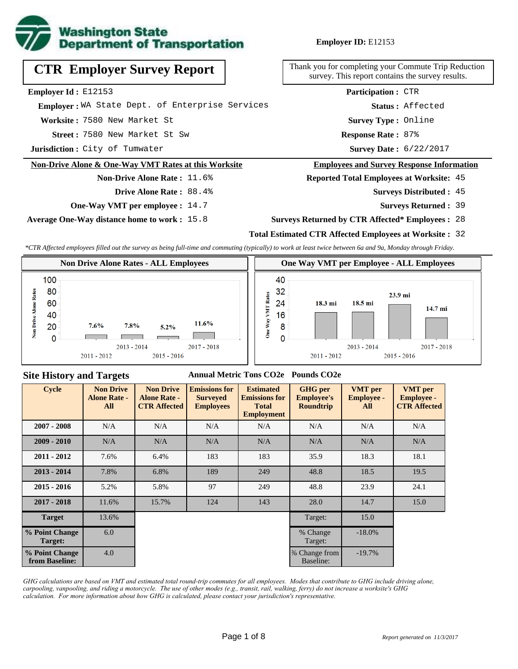

**Employer ID:** E12153

|  | <b>CTR Employer Survey Report</b> |  |  |
|--|-----------------------------------|--|--|
|--|-----------------------------------|--|--|

**Employer Id :** E12153

 **Employer :** WA State Dept. of Enterprise Services

**Worksite :** 7580 New Market St

7580 New Market St Sw **Response Rate : Street :**

**Jurisdiction :** City of Tumwater

#### **Non-Drive Alone & One-Way VMT Rates at this Worksite**

# **Non-Drive Alone Rate :** 11.6%

**Drive Alone Rate :** 88.4%

**One-Way VMT per employee :** 14.7

**Average One-Way distance home to work :** 15.8

Thank you for completing your Commute Trip Reduction survey. This report contains the survey results.

> Response Rate: 87% **Survey Type :** Online **Status :** Affected **Participation :** CTR

Survey Date: 6/22/2017

#### **Employees and Survey Response Information**

**Reported Total Employees at Worksite:** 45

- 45 **Surveys Distributed :**
	- **Surveys Returned :** 39

#### **Surveys Returned by CTR Affected\* Employees :** 28

### **Total Estimated CTR Affected Employees at Worksite :** 32

*\*CTR Affected employees filled out the survey as being full-time and commuting (typically) to work at least twice between 6a and 9a, Monday through Friday.*



#### **Site History and Targets**

#### **Annual Metric Tons CO2e Pounds CO2e**

| <b>Cycle</b>                     | <b>Non Drive</b><br><b>Alone Rate -</b><br>All | <b>Non Drive</b><br><b>Alone Rate -</b><br><b>CTR Affected</b> | <b>Emissions for</b><br><b>Surveyed</b><br><b>Employees</b> | <b>Estimated</b><br><b>Emissions for</b><br><b>Total</b><br><b>Employment</b> | <b>GHG</b> per<br><b>Employee's</b><br><b>Roundtrip</b> | <b>VMT</b> per<br><b>Employee -</b><br>All | <b>VMT</b> per<br><b>Employee -</b><br><b>CTR Affected</b> |
|----------------------------------|------------------------------------------------|----------------------------------------------------------------|-------------------------------------------------------------|-------------------------------------------------------------------------------|---------------------------------------------------------|--------------------------------------------|------------------------------------------------------------|
| $2007 - 2008$                    | N/A                                            | N/A                                                            | N/A                                                         | N/A                                                                           | N/A                                                     | N/A                                        | N/A                                                        |
| $2009 - 2010$                    | N/A                                            | N/A                                                            | N/A                                                         | N/A                                                                           | N/A                                                     | N/A                                        | N/A                                                        |
| $2011 - 2012$                    | 7.6%                                           | 6.4%                                                           | 183                                                         | 183                                                                           | 35.9                                                    | 18.3                                       | 18.1                                                       |
| $2013 - 2014$                    | 7.8%                                           | 6.8%                                                           | 189                                                         | 249                                                                           | 48.8                                                    | 18.5                                       | 19.5                                                       |
| $2015 - 2016$                    | 5.2%                                           | 5.8%                                                           | 97                                                          | 249                                                                           | 48.8                                                    | 23.9                                       | 24.1                                                       |
| $2017 - 2018$                    | 11.6%                                          | 15.7%                                                          | 124                                                         | 143                                                                           | 28.0                                                    | 14.7                                       | 15.0                                                       |
| <b>Target</b>                    | 13.6%                                          |                                                                |                                                             |                                                                               | Target:                                                 | 15.0                                       |                                                            |
| % Point Change<br>Target:        | 6.0                                            |                                                                |                                                             |                                                                               | % Change<br>Target:                                     | $-18.0\%$                                  |                                                            |
| % Point Change<br>from Baseline: | 4.0                                            |                                                                |                                                             |                                                                               | % Change from<br>Baseline:                              | $-19.7%$                                   |                                                            |

*GHG calculations are based on VMT and estimated total round-trip commutes for all employees. Modes that contribute to GHG include driving alone, carpooling, vanpooling, and riding a motorcycle. The use of other modes (e.g., transit, rail, walking, ferry) do not increase a worksite's GHG calculation. For more information about how GHG is calculated, please contact your jurisdiction's representative.*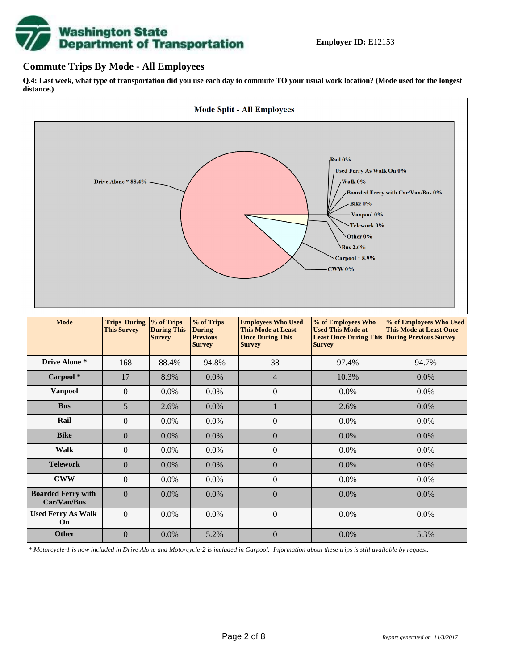# **Washington State<br>Department of Transportation**

## **Commute Trips By Mode - All Employees**

**Q.4: Last week, what type of transportation did you use each day to commute TO your usual work location? (Mode used for the longest distance.)**



*\* Motorcycle-1 is now included in Drive Alone and Motorcycle-2 is included in Carpool. Information about these trips is still available by request.*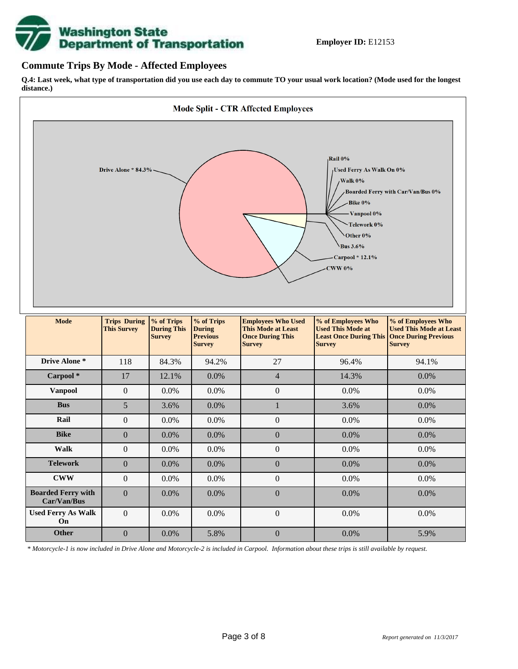

## **Commute Trips By Mode - Affected Employees**

**Q.4: Last week, what type of transportation did you use each day to commute TO your usual work location? (Mode used for the longest distance.)**



*\* Motorcycle-1 is now included in Drive Alone and Motorcycle-2 is included in Carpool. Information about these trips is still available by request.*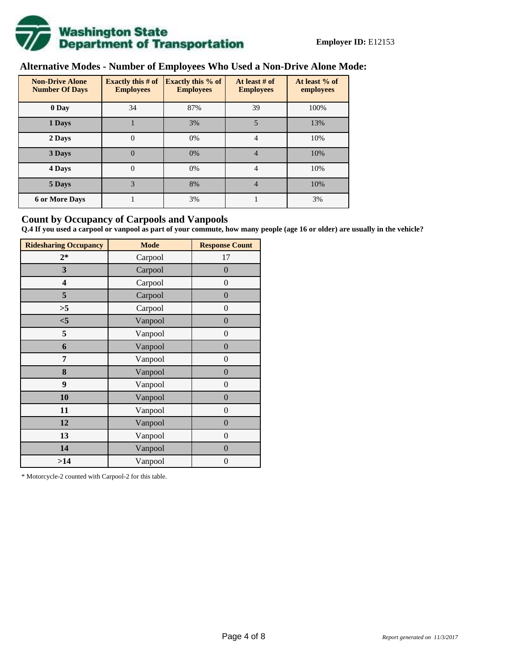

# **Alternative Modes - Number of Employees Who Used a Non-Drive Alone Mode:**

| <b>Non-Drive Alone</b><br><b>Number Of Days</b> | Exactly this $#$ of<br><b>Employees</b> | <b>Exactly this % of</b><br><b>Employees</b> | At least # of<br><b>Employees</b> | At least % of<br>employees |
|-------------------------------------------------|-----------------------------------------|----------------------------------------------|-----------------------------------|----------------------------|
| 0 Day                                           | 34                                      | 87%                                          | 39                                | 100%                       |
| 1 Days                                          |                                         | 3%                                           | 5                                 | 13%                        |
| 2 Days                                          | 0                                       | 0%                                           | 4                                 | 10%                        |
| 3 Days                                          | $\theta$                                | 0%                                           | $\overline{4}$                    | 10%                        |
| 4 Days                                          | $\Omega$                                | 0%                                           | 4                                 | 10%                        |
| 5 Days                                          | 3                                       | 8%                                           | 4                                 | 10%                        |
| <b>6 or More Days</b>                           |                                         | 3%                                           |                                   | 3%                         |

## **Count by Occupancy of Carpools and Vanpools**

**Q.4 If you used a carpool or vanpool as part of your commute, how many people (age 16 or older) are usually in the vehicle?**

| <b>Ridesharing Occupancy</b> | <b>Mode</b> | <b>Response Count</b> |
|------------------------------|-------------|-----------------------|
| $2*$                         | Carpool     | 17                    |
| 3                            | Carpool     | $\overline{0}$        |
| 4                            | Carpool     | $\boldsymbol{0}$      |
| 5                            | Carpool     | $\boldsymbol{0}$      |
| >5                           | Carpool     | $\boldsymbol{0}$      |
| $<$ 5                        | Vanpool     | $\overline{0}$        |
| 5                            | Vanpool     | $\overline{0}$        |
| 6                            | Vanpool     | $\boldsymbol{0}$      |
| 7                            | Vanpool     | $\boldsymbol{0}$      |
| 8                            | Vanpool     | $\overline{0}$        |
| 9                            | Vanpool     | $\overline{0}$        |
| 10                           | Vanpool     | $\overline{0}$        |
| 11                           | Vanpool     | $\boldsymbol{0}$      |
| 12                           | Vanpool     | $\boldsymbol{0}$      |
| 13                           | Vanpool     | $\boldsymbol{0}$      |
| 14                           | Vanpool     | $\overline{0}$        |
| >14                          | Vanpool     | $\boldsymbol{0}$      |

\* Motorcycle-2 counted with Carpool-2 for this table.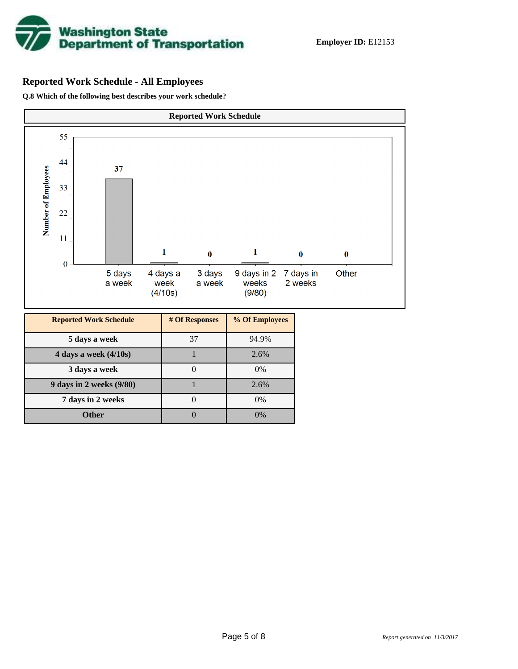

# **Reported Work Schedule - All Employees**

**Q.8 Which of the following best describes your work schedule?**

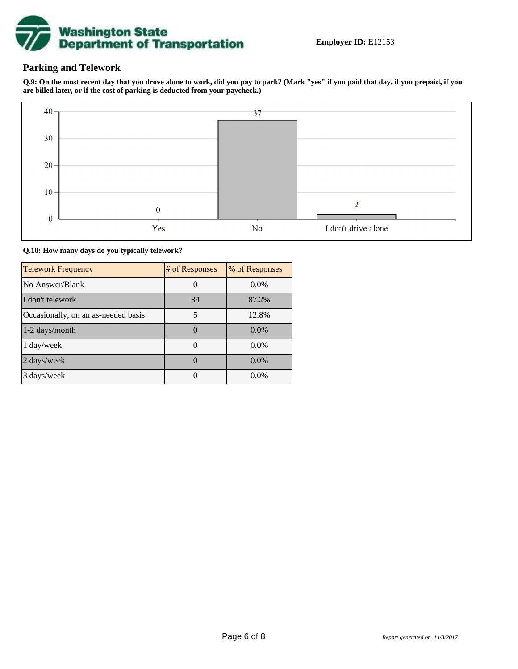

## **Parking and Telework**

**Q.9: On the most recent day that you drove alone to work, did you pay to park? (Mark "yes" if you paid that day, if you prepaid, if you are billed later, or if the cost of parking is deducted from your paycheck.)**



**Q.10: How many days do you typically telework?**

| <b>Telework Frequency</b>           | # of Responses | % of Responses |
|-------------------------------------|----------------|----------------|
| No Answer/Blank                     |                | $0.0\%$        |
| I don't telework                    | 34             | 87.2%          |
| Occasionally, on an as-needed basis | 5              | 12.8%          |
| 1-2 days/month                      |                | $0.0\%$        |
| 1 day/week                          |                | $0.0\%$        |
| 2 days/week                         |                | $0.0\%$        |
| 3 days/week                         |                | $0.0\%$        |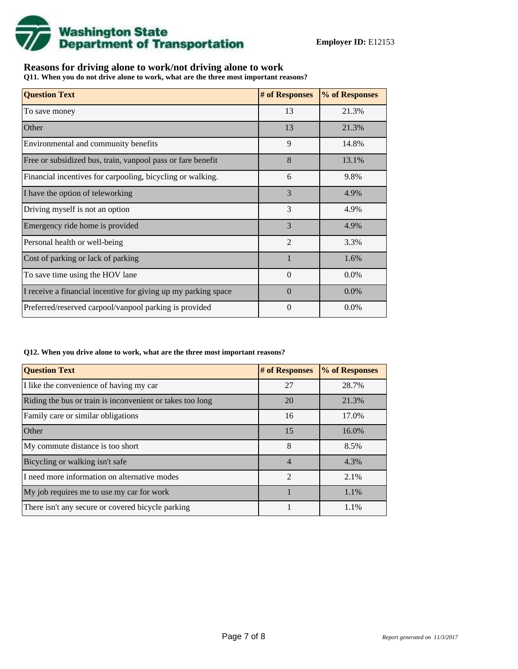

## **Reasons for driving alone to work/not driving alone to work**

**Q11. When you do not drive alone to work, what are the three most important reasons?**

| <b>Question Text</b>                                           | # of Responses | % of Responses |
|----------------------------------------------------------------|----------------|----------------|
| To save money                                                  | 13             | 21.3%          |
| Other                                                          | 13             | 21.3%          |
| Environmental and community benefits                           | 9              | 14.8%          |
| Free or subsidized bus, train, vanpool pass or fare benefit    | 8              | 13.1%          |
| Financial incentives for carpooling, bicycling or walking.     | 6              | 9.8%           |
| I have the option of teleworking                               | 3              | 4.9%           |
| Driving myself is not an option                                | 3              | 4.9%           |
| Emergency ride home is provided                                | 3              | 4.9%           |
| Personal health or well-being                                  | $\overline{2}$ | 3.3%           |
| Cost of parking or lack of parking                             |                | 1.6%           |
| To save time using the HOV lane                                | $\Omega$       | $0.0\%$        |
| I receive a financial incentive for giving up my parking space | $\Omega$       | 0.0%           |
| Preferred/reserved carpool/vanpool parking is provided         | $\theta$       | $0.0\%$        |

#### **Q12. When you drive alone to work, what are the three most important reasons?**

| <b>Question Text</b>                                      | # of Responses | % of Responses |
|-----------------------------------------------------------|----------------|----------------|
| I like the convenience of having my car                   | 27             | 28.7%          |
| Riding the bus or train is inconvenient or takes too long | 20             | 21.3%          |
| Family care or similar obligations                        | 16             | 17.0%          |
| <b>Other</b>                                              | 15             | 16.0%          |
| My commute distance is too short                          | 8              | 8.5%           |
| Bicycling or walking isn't safe                           | $\overline{4}$ | 4.3%           |
| I need more information on alternative modes              | $\mathfrak{D}$ | 2.1%           |
| My job requires me to use my car for work                 |                | 1.1%           |
| There isn't any secure or covered bicycle parking         |                | 1.1%           |